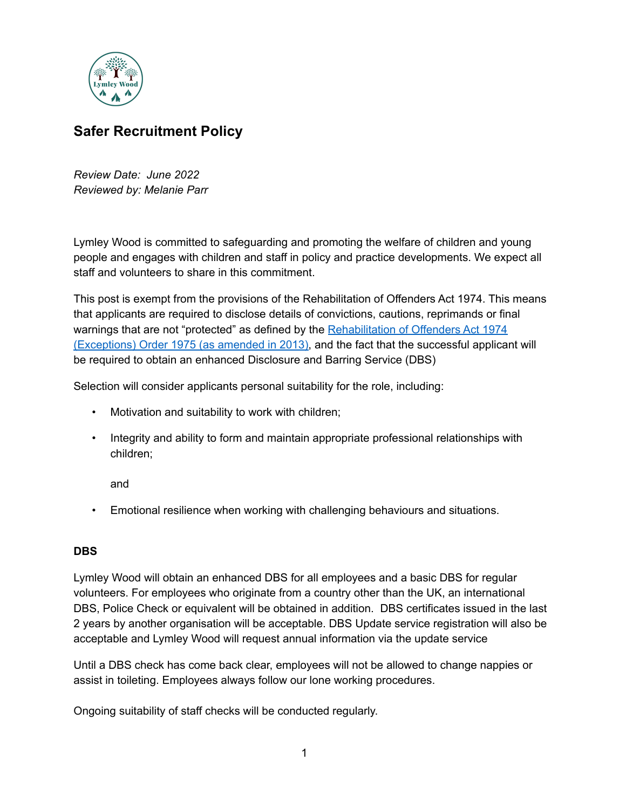

## **Safer Recruitment Policy**

*Review Date: June 2022 Reviewed by: Melanie Parr*

Lymley Wood is committed to safeguarding and promoting the welfare of children and young people and engages with children and staff in policy and practice developments. We expect all staff and volunteers to share in this commitment.

This post is exempt from the provisions of the Rehabilitation of Offenders Act 1974. This means that applicants are required to disclose details of convictions, cautions, reprimands or final warnings that are not "protected" as defined by the [Rehabilitation](http://www.legislation.gov.uk/uksi/2013/1198/pdfs/uksi_20131198_en.pdf) of Offenders Act 1974 [\(Exceptions\)](http://www.legislation.gov.uk/uksi/2013/1198/pdfs/uksi_20131198_en.pdf) Order 1975 (as amended in 2013), and the fact that the successful applicant will be required to obtain an enhanced Disclosure and Barring Service (DBS)

Selection will consider applicants personal suitability for the role, including:

- Motivation and suitability to work with children;
- Integrity and ability to form and maintain appropriate professional relationships with children;

and

• Emotional resilience when working with challenging behaviours and situations.

## **DBS**

Lymley Wood will obtain an enhanced DBS for all employees and a basic DBS for regular volunteers. For employees who originate from a country other than the UK, an international DBS, Police Check or equivalent will be obtained in addition. DBS certificates issued in the last 2 years by another organisation will be acceptable. DBS Update service registration will also be acceptable and Lymley Wood will request annual information via the update service

Until a DBS check has come back clear, employees will not be allowed to change nappies or assist in toileting. Employees always follow our lone working procedures.

Ongoing suitability of staff checks will be conducted regularly.